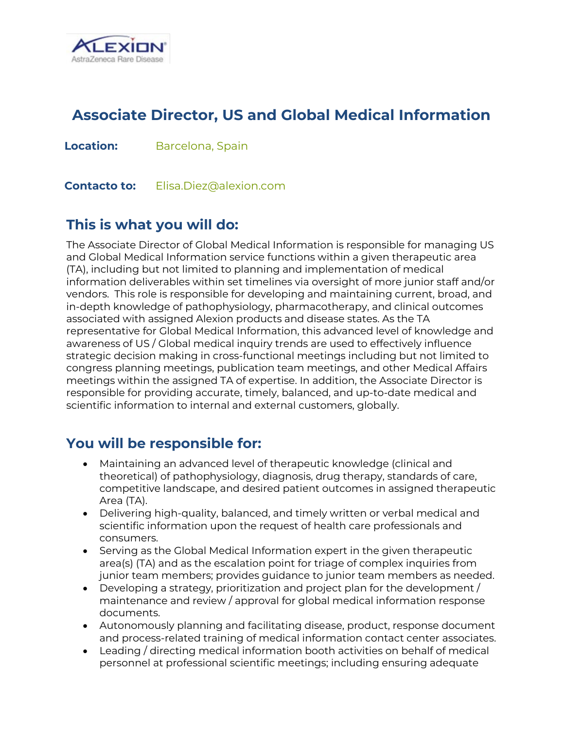

# **Associate Director, US and Global Medical Information**

**Location:** Barcelona, Spain

**Contacto to:** Elisa.Diez@alexion.com

# **This is what you will do:**

The Associate Director of Global Medical Information is responsible for managing US and Global Medical Information service functions within a given therapeutic area (TA), including but not limited to planning and implementation of medical information deliverables within set timelines via oversight of more junior staff and/or vendors. This role is responsible for developing and maintaining current, broad, and in-depth knowledge of pathophysiology, pharmacotherapy, and clinical outcomes associated with assigned Alexion products and disease states. As the TA representative for Global Medical Information, this advanced level of knowledge and awareness of US / Global medical inquiry trends are used to effectively influence strategic decision making in cross-functional meetings including but not limited to congress planning meetings, publication team meetings, and other Medical Affairs meetings within the assigned TA of expertise. In addition, the Associate Director is responsible for providing accurate, timely, balanced, and up-to-date medical and scientific information to internal and external customers, globally.

### **You will be responsible for:**

- Maintaining an advanced level of therapeutic knowledge (clinical and theoretical) of pathophysiology, diagnosis, drug therapy, standards of care, competitive landscape, and desired patient outcomes in assigned therapeutic Area (TA).
- Delivering high-quality, balanced, and timely written or verbal medical and scientific information upon the request of health care professionals and consumers.
- Serving as the Global Medical Information expert in the given therapeutic area(s) (TA) and as the escalation point for triage of complex inquiries from junior team members; provides guidance to junior team members as needed.
- Developing a strategy, prioritization and project plan for the development / maintenance and review / approval for global medical information response documents.
- Autonomously planning and facilitating disease, product, response document and process-related training of medical information contact center associates.
- Leading / directing medical information booth activities on behalf of medical personnel at professional scientific meetings; including ensuring adequate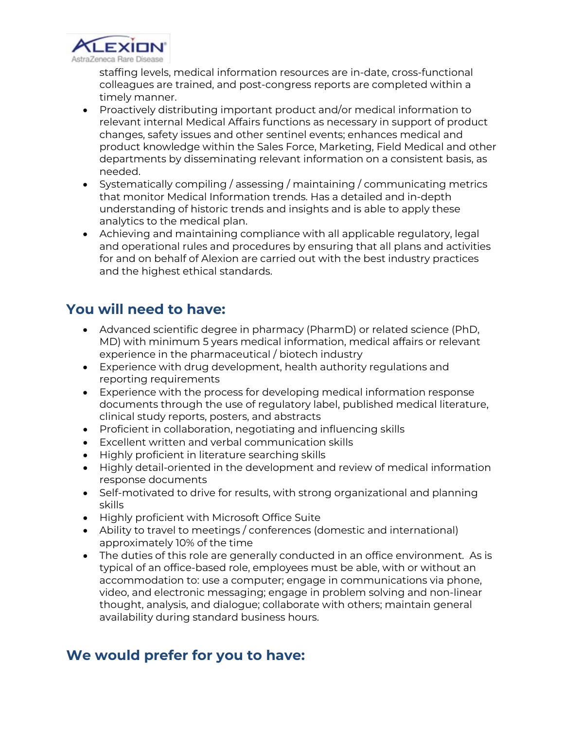

staffing levels, medical information resources are in-date, cross-functional colleagues are trained, and post-congress reports are completed within a timely manner.

- Proactively distributing important product and/or medical information to relevant internal Medical Affairs functions as necessary in support of product changes, safety issues and other sentinel events; enhances medical and product knowledge within the Sales Force, Marketing, Field Medical and other departments by disseminating relevant information on a consistent basis, as needed.
- Systematically compiling / assessing / maintaining / communicating metrics that monitor Medical Information trends. Has a detailed and in-depth understanding of historic trends and insights and is able to apply these analytics to the medical plan.
- Achieving and maintaining compliance with all applicable regulatory, legal and operational rules and procedures by ensuring that all plans and activities for and on behalf of Alexion are carried out with the best industry practices and the highest ethical standards.

# **You will need to have:**

- Advanced scientific degree in pharmacy (PharmD) or related science (PhD, MD) with minimum 5 years medical information, medical affairs or relevant experience in the pharmaceutical / biotech industry
- Experience with drug development, health authority regulations and reporting requirements
- Experience with the process for developing medical information response documents through the use of regulatory label, published medical literature, clinical study reports, posters, and abstracts
- Proficient in collaboration, negotiating and influencing skills
- Excellent written and verbal communication skills
- Highly proficient in literature searching skills
- Highly detail-oriented in the development and review of medical information response documents
- Self-motivated to drive for results, with strong organizational and planning skills
- Highly proficient with Microsoft Office Suite
- Ability to travel to meetings / conferences (domestic and international) approximately 10% of the time
- The duties of this role are generally conducted in an office environment. As is typical of an office-based role, employees must be able, with or without an accommodation to: use a computer; engage in communications via phone, video, and electronic messaging; engage in problem solving and non-linear thought, analysis, and dialogue; collaborate with others; maintain general availability during standard business hours.

#### **We would prefer for you to have:**